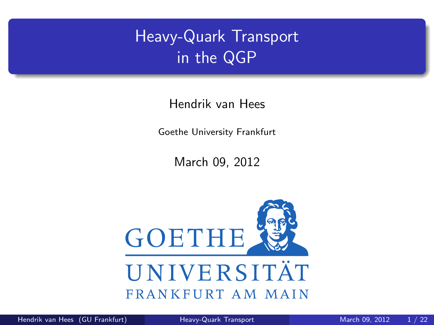# Heavy-Quark Transport in the QGP

Hendrik van Hees

Goethe University Frankfurt

<span id="page-0-0"></span>March 09, 2012

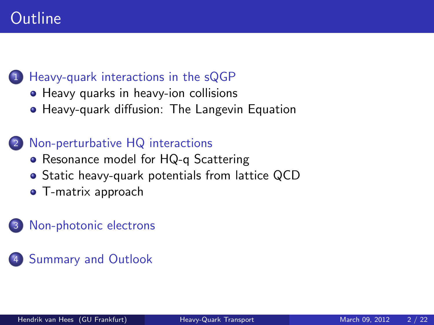# **Outline**

#### [Heavy-quark interactions in the sQGP](#page-2-0)

- [Heavy quarks in heavy-ion collisions](#page-2-0)
- [Heavy-quark diffusion: The Langevin Equation](#page-4-0)

#### [Non-perturbative HQ interactions](#page-5-0)

- [Resonance model for HQ-q Scattering](#page-5-0)
- [Static heavy-quark potentials from lattice QCD](#page-10-0)
- **•** [T-matrix approach](#page-11-0)

#### [Non-photonic electrons](#page-18-0)

[Summary and Outlook](#page-21-0)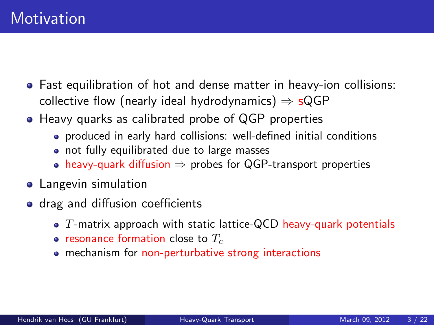- Fast equilibration of hot and dense matter in heavy-ion collisions: collective flow (nearly ideal hydrodynamics)  $\Rightarrow$  sQGP
- Heavy quarks as calibrated probe of QGP properties
	- produced in early hard collisions: well-defined initial conditions
	- not fully equilibrated due to large masses
	- heavy-quark diffusion  $\Rightarrow$  probes for QGP-transport properties
- **•** Langevin simulation
- <span id="page-2-0"></span>• drag and diffusion coefficients
	- $\bullet$  T-matrix approach with static lattice-QCD heavy-quark potentials
	- resonance formation close to  $T_c$
	- mechanism for non-perturbative strong interactions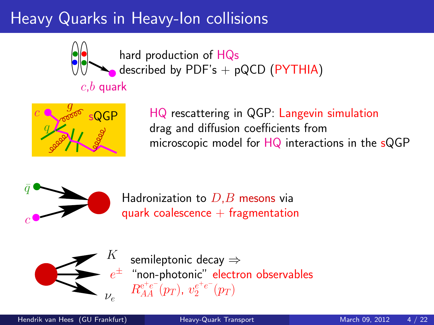# Heavy Quarks in Heavy-Ion collisions



hard production of HQs described by PDF's  $+$  pQCD (PYTHIA)

# $c,b$  quark



HQ rescattering in QGP: Langevin simulation drag and diffusion coefficients from microscopic model for HQ interactions in the sQGP



Hadronization to  $D,B$  mesons via quark coalescence  $+$  fragmentation



 $e^\pm$  "non-photonic" electron observables semileptonic decay ⇒  $R_{AA}^{\mathrm{e^+e^-}}(p_T),\ v_{2}^{e^+e^-}(p_T)$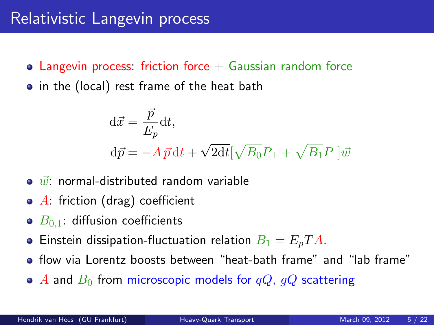- Langevin process: friction force  $+$  Gaussian random force
- in the (local) rest frame of the heat bath

<span id="page-4-0"></span>
$$
\begin{aligned} \mathrm{d}\vec{x} &= \frac{\vec{p}}{E_p} \mathrm{d}t, \\ \mathrm{d}\vec{p} &= -A\,\vec{p}\,\mathrm{d}t + \sqrt{2\mathrm{d}t} [\sqrt{B_0}P_\perp + \sqrt{B_1}P_\parallel]\vec{w} \end{aligned}
$$

- $\bullet$   $\vec{w}$ : normal-distributed random variable
- $\bullet$  A: friction (drag) coefficient
- $\bullet$   $B_{0,1}$ : diffusion coefficients
- **•** Einstein dissipation-fluctuation relation  $B_1 = E_p T A$ .
- flow via Lorentz boosts between "heat-bath frame" and "lab frame"
- $\bullet$  A and  $B_0$  from microscopic models for  $qQ$ ,  $qQ$  scattering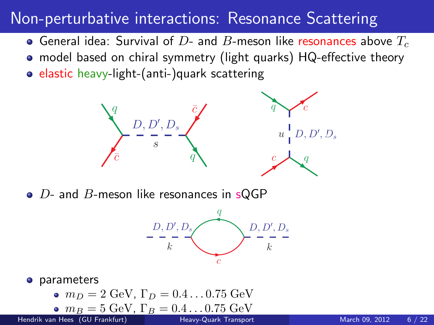### Non-perturbative interactions: Resonance Scattering

- General idea: Survival of  $D$  and  $B$ -meson like resonances above  $T_c$
- model based on chiral symmetry (light quarks) HQ-effective theory
- elastic heavy-light-(anti-)quark scattering



 $\bullet$  D- and B-meson like resonances in sQGP

<span id="page-5-0"></span>

**o** parameters

• 
$$
m_D = 2 \text{ GeV}
$$
,  $\Gamma_D = 0.4 \dots 0.75 \text{ GeV}$   
•  $m_D = 5 \text{ GeV}$ ,  $\Gamma_D = 0.4 \dots 0.75 \text{ GeV}$ 

• 
$$
m_B = 5 \text{ GeV}, \Gamma_B = 0.4 \dots 0.75 \text{ GeV}
$$

Hendrik van Hees (GU Frankfurt) [Heavy-Quark Transport](#page-0-0) March 09, 2012 6/22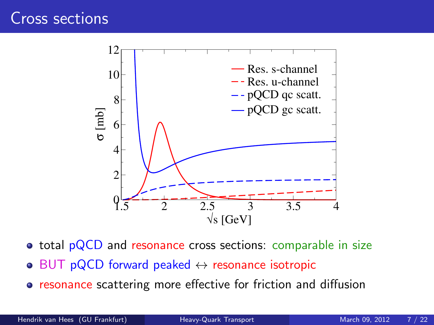

**o** total pQCD and resonance cross sections: comparable in size

- $\bullet$  BUT pQCD forward peaked  $\leftrightarrow$  resonance isotropic
- **•** resonance scattering more effective for friction and diffusion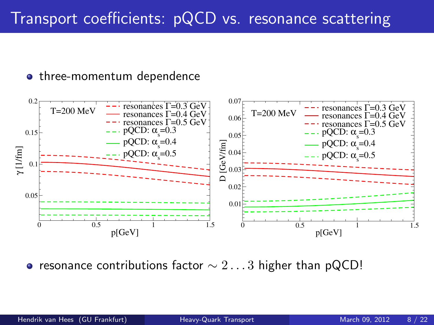#### • three-momentum dependence



• resonance contributions factor  $\sim 2\dots 3$  higher than pQCD!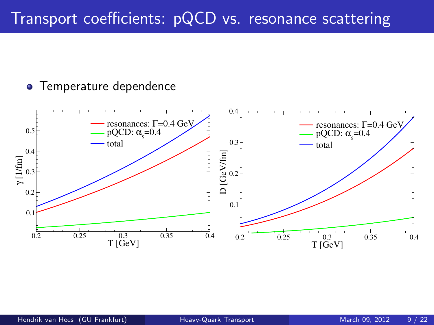### Transport coefficients: pQCD vs. resonance scattering

#### **•** Temperature dependence

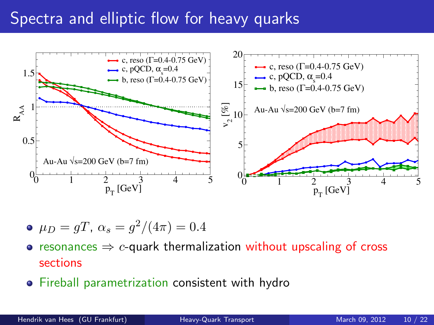### Spectra and elliptic flow for heavy quarks



• 
$$
\mu_D = gT
$$
,  $\alpha_s = g^2/(4\pi) = 0.4$ 

- resonances  $\Rightarrow$  c-quark thermalization without upscaling of cross sections
- Fireball parametrization consistent with hydro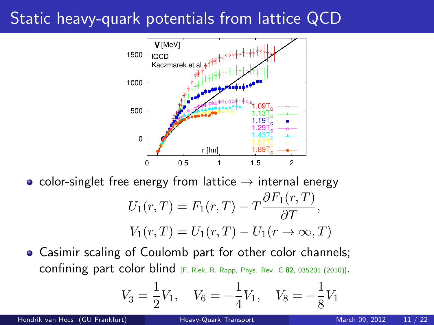# Static heavy-quark potentials from lattice QCD



• color-singlet free energy from lattice  $\rightarrow$  internal energy

$$
U_1(r,T) = F_1(r,T) - T \frac{\partial F_1(r,T)}{\partial T},
$$
  

$$
V_1(r,T) = U_1(r,T) - U_1(r \to \infty, T)
$$

Casimir scaling of Coulomb part for other color channels; confining part color blind  $F.$  Riek, R. Rapp, Phys. Rev. C 82, 035201 (2010)].

<span id="page-10-0"></span>
$$
V_{\bar{3}} = \frac{1}{2}V_1, \quad V_6 = -\frac{1}{4}V_1, \quad V_8 = -\frac{1}{8}V_1
$$

Hendrik van Hees (GU Frankfurt) [Heavy-Quark Transport](#page-0-0) March 09, 2012 11 / 22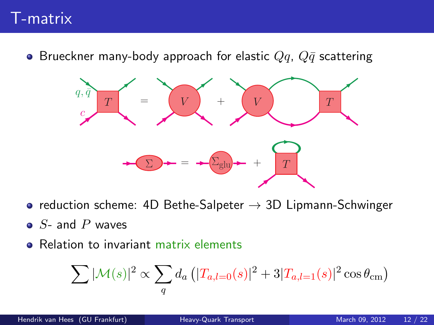### T-matrix

**•** Brueckner many-body approach for elastic  $Qq$ ,  $Q\bar{q}$  scattering



- reduction scheme: 4D Bethe-Salpeter  $\rightarrow$  3D Lipmann-Schwinger
- $\bullet$  S- and P waves
- Relation to invariant matrix elements

<span id="page-11-0"></span>
$$
\sum |\mathcal{M}(s)|^2 \propto \sum_{q} d_a \left( |T_{a,l=0}(s)|^2 + 3|T_{a,l=1}(s)|^2 \cos \theta_{\rm cm} \right)
$$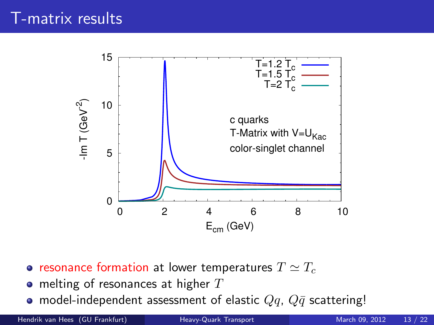

- resonance formation at lower temperatures  $T \simeq T_c$
- $\bullet$  melting of resonances at higher  $T$
- model-independent assessment of elastic  $Qq$ ,  $Q\bar{q}$  scattering!

Hendrik van Hees (GU Frankfurt) [Heavy-Quark Transport](#page-0-0) March 09, 2012 13 / 22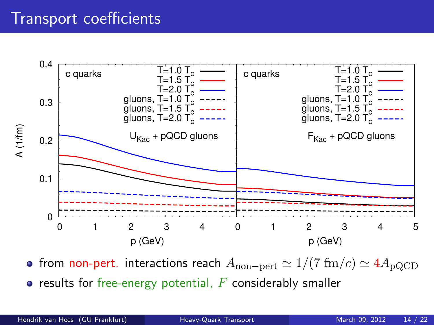### Transport coefficients



• from non-pert. interactions reach  $A_{\text{non-pert}} \simeq 1/(7 \text{ fm}/c) \simeq 4A_{\text{pQCD}}$ 

 $\bullet$  results for free-energy potential,  $F$  considerably smaller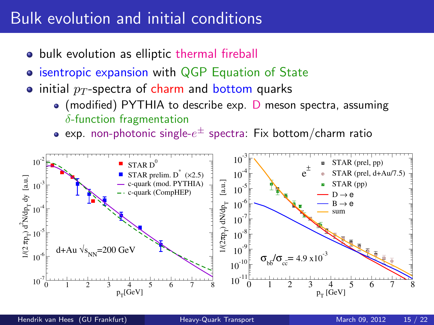### Bulk evolution and initial conditions

- bulk evolution as elliptic thermal fireball
- **isentropic expansion with QGP Equation of State**
- initial  $p_T$ -spectra of charm and bottom quarks
	- $\bullet$  (modified) PYTHIA to describe exp. D meson spectra, assuming  $\delta$ -function fragmentation
	- exp. non-photonic single- $e^\pm$  spectra: Fix bottom/charm ratio

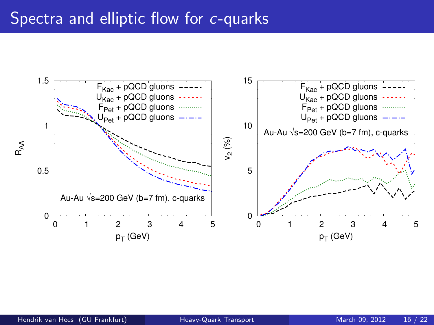#### Spectra and elliptic flow for c-quarks

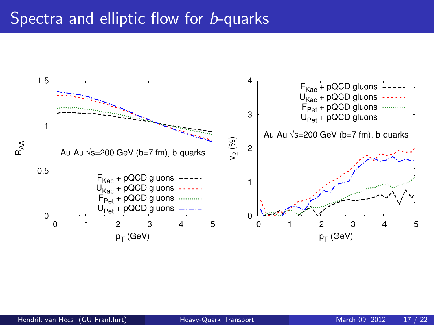#### Spectra and elliptic flow for **b-quarks**

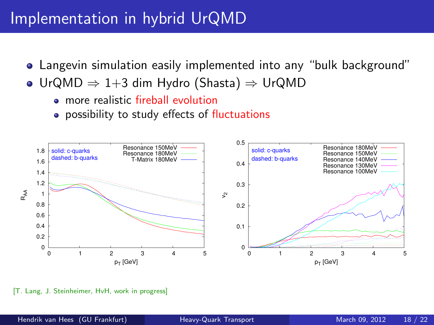### Implementation in hybrid UrQMD

- Langevin simulation easily implemented into any "bulk background"
- UrQMD ⇒ 1+3 dim Hydro (Shasta) ⇒ UrQMD
	- **•** more realistic fireball evolution
	- **•** possibility to study effects of fluctuations



[T. Lang, J. Steinheimer, HvH, work in progress]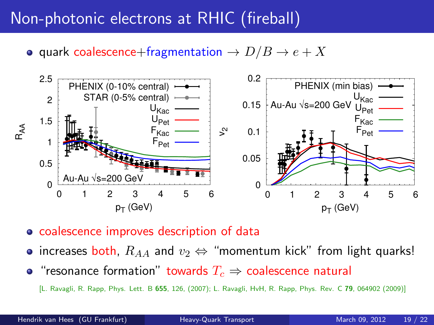# Non-photonic electrons at RHIC (fireball)

• quark coalescence+fragmentation  $\rightarrow D/B \rightarrow e + X$ 



coalescence improves description of data

- increases both,  $R_{AA}$  and  $v_2 \Leftrightarrow$  "momentum kick" from light quarks!
- "resonance formation" towards  $T_c \Rightarrow$  coalescence natural

<span id="page-18-0"></span>[L. Ravagli, R. Rapp, Phys. Lett. B 655, 126, (2007); L. Ravagli, HvH, R. Rapp, Phys. Rev. C 79, 064902 (2009)]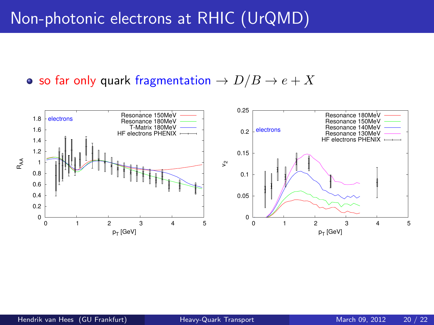### Non-photonic electrons at RHIC (UrQMD)

#### • so far only quark fragmentation  $\rightarrow D/B \rightarrow e + X$

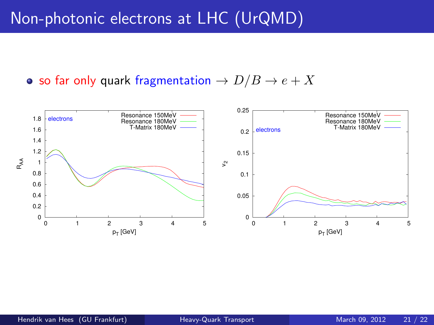### Non-photonic electrons at LHC (UrQMD)

#### • so far only quark fragmentation  $\rightarrow D/B \rightarrow e + X$